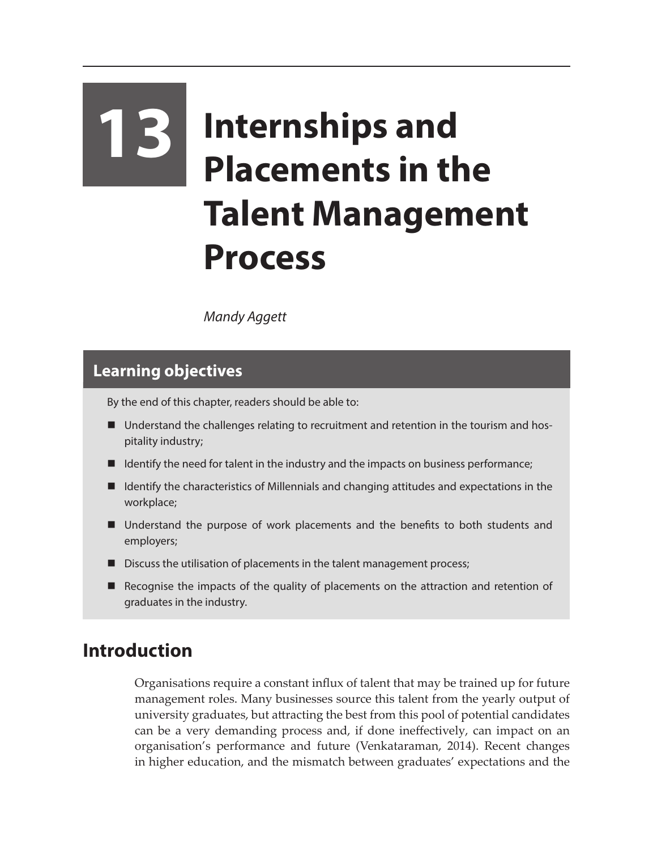# **13 Internships and Placements in the Talent Management Process**

*Mandy Aggett*

## **Learning objectives**

By the end of this chapter, readers should be able to:

- Understand the challenges relating to recruitment and retention in the tourism and hospitality industry;
- $\blacksquare$  Identify the need for talent in the industry and the impacts on business performance;
- Identify the characteristics of Millennials and changing attitudes and expectations in the workplace;
- Understand the purpose of work placements and the benefits to both students and employers;
- Discuss the utilisation of placements in the talent management process;
- **E** Recognise the impacts of the quality of placements on the attraction and retention of graduates in the industry.

## **Introduction**

Organisations require a constant influx of talent that may be trained up for future management roles. Many businesses source this talent from the yearly output of university graduates, but attracting the best from this pool of potential candidates can be a very demanding process and, if done ineffectively, can impact on an organisation's performance and future (Venkataraman, 2014). Recent changes in higher education, and the mismatch between graduates' expectations and the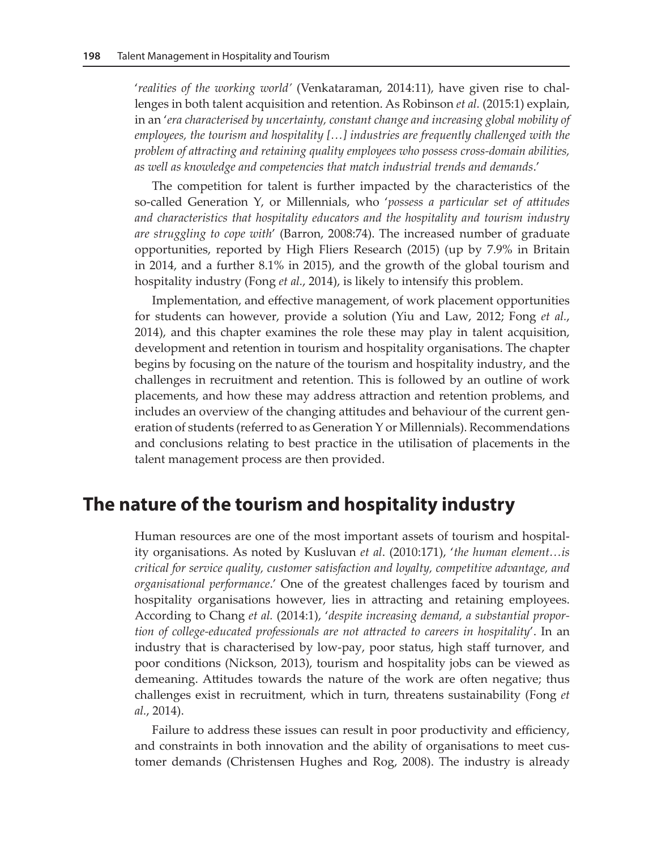'*realities of the working world'* (Venkataraman, 2014:11), have given rise to challenges in both talent acquisition and retention. As Robinson *et al.* (2015:1) explain, in an '*era characterised by uncertainty, constant change and increasing global mobility of employees, the tourism and hospitality […] industries are frequently challenged with the problem of attracting and retaining quality employees who possess cross-domain abilities, as well as knowledge and competencies that match industrial trends and demands*.'

The competition for talent is further impacted by the characteristics of the so-called Generation Y, or Millennials, who '*possess a particular set of attitudes and characteristics that hospitality educators and the hospitality and tourism industry are struggling to cope with*' (Barron, 2008:74). The increased number of graduate opportunities, reported by High Fliers Research (2015) (up by 7.9% in Britain in 2014, and a further 8.1% in 2015), and the growth of the global tourism and hospitality industry (Fong *et al.*, 2014), is likely to intensify this problem.

Implementation, and effective management, of work placement opportunities for students can however, provide a solution (Yiu and Law, 2012; Fong *et al.*, 2014), and this chapter examines the role these may play in talent acquisition, development and retention in tourism and hospitality organisations. The chapter begins by focusing on the nature of the tourism and hospitality industry, and the challenges in recruitment and retention. This is followed by an outline of work placements, and how these may address attraction and retention problems, and includes an overview of the changing attitudes and behaviour of the current generation of students (referred to as Generation Y or Millennials). Recommendations and conclusions relating to best practice in the utilisation of placements in the talent management process are then provided.

#### **The nature of the tourism and hospitality industry**

Human resources are one of the most important assets of tourism and hospitality organisations. As noted by Kusluvan *et al*. (2010:171), '*the human element…is critical for service quality, customer satisfaction and loyalty, competitive advantage, and organisational performance*.' One of the greatest challenges faced by tourism and hospitality organisations however, lies in attracting and retaining employees. According to Chang *et al.* (2014:1), '*despite increasing demand, a substantial proportion of college-educated professionals are not attracted to careers in hospitality*'. In an industry that is characterised by low-pay, poor status, high staff turnover, and poor conditions (Nickson, 2013), tourism and hospitality jobs can be viewed as demeaning. Attitudes towards the nature of the work are often negative; thus challenges exist in recruitment, which in turn, threatens sustainability (Fong *et al.*, 2014).

Failure to address these issues can result in poor productivity and efficiency, and constraints in both innovation and the ability of organisations to meet customer demands (Christensen Hughes and Rog, 2008). The industry is already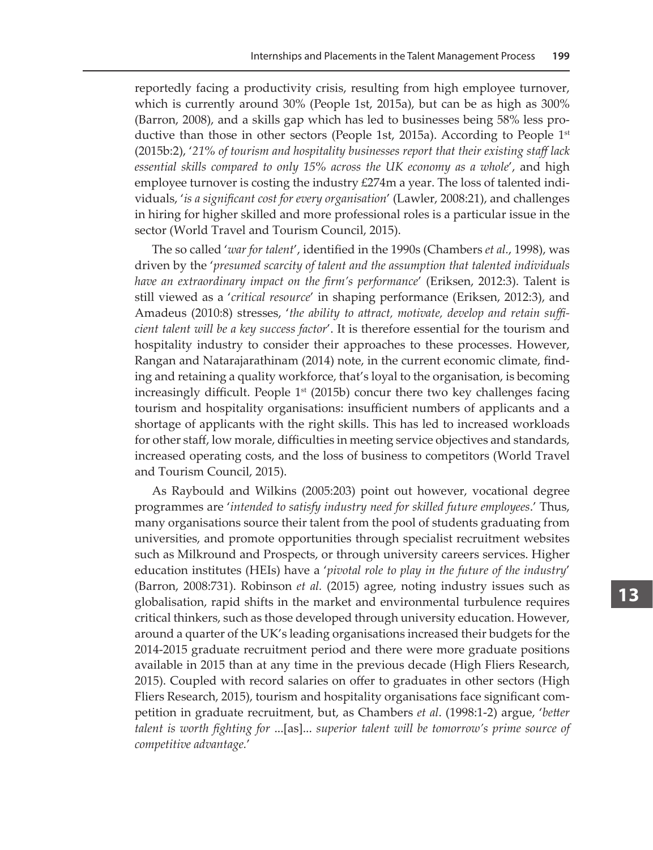reportedly facing a productivity crisis, resulting from high employee turnover, which is currently around 30% (People 1st, 2015a), but can be as high as 300% (Barron, 2008), and a skills gap which has led to businesses being 58% less productive than those in other sectors (People 1st, 2015a). According to People  $1<sup>st</sup>$ (2015b:2), '*21% of tourism and hospitality businesses report that their existing staff lack essential skills compared to only 15% across the UK economy as a whole*', and high employee turnover is costing the industry  $\text{\pounds}274m$  a year. The loss of talented individuals, '*is a significant cost for every organisation*' (Lawler, 2008:21), and challenges in hiring for higher skilled and more professional roles is a particular issue in the sector (World Travel and Tourism Council, 2015).

The so called '*war for talent*', identified in the 1990s (Chambers *et al.*, 1998), was driven by the '*presumed scarcity of talent and the assumption that talented individuals have an extraordinary impact on the firm's performance*' (Eriksen, 2012:3). Talent is still viewed as a '*critical resource*' in shaping performance (Eriksen, 2012:3), and Amadeus (2010:8) stresses, '*the ability to attract, motivate, develop and retain sufficient talent will be a key success factor*'. It is therefore essential for the tourism and hospitality industry to consider their approaches to these processes. However, Rangan and Natarajarathinam (2014) note, in the current economic climate, finding and retaining a quality workforce, that's loyal to the organisation, is becoming increasingly difficult. People  $1<sup>st</sup>$  (2015b) concur there two key challenges facing tourism and hospitality organisations: insufficient numbers of applicants and a shortage of applicants with the right skills. This has led to increased workloads for other staff, low morale, difficulties in meeting service objectives and standards, increased operating costs, and the loss of business to competitors (World Travel and Tourism Council, 2015).

As Raybould and Wilkins (2005:203) point out however, vocational degree programmes are '*intended to satisfy industry need for skilled future employees*.' Thus, many organisations source their talent from the pool of students graduating from universities, and promote opportunities through specialist recruitment websites such as Milkround and Prospects, or through university careers services. Higher education institutes (HEIs) have a '*pivotal role to play in the future of the industry*' (Barron, 2008:731). Robinson *et al.* (2015) agree, noting industry issues such as globalisation, rapid shifts in the market and environmental turbulence requires critical thinkers, such as those developed through university education. However, around a quarter of the UK's leading organisations increased their budgets for the 2014-2015 graduate recruitment period and there were more graduate positions available in 2015 than at any time in the previous decade (High Fliers Research, 2015). Coupled with record salaries on offer to graduates in other sectors (High Fliers Research, 2015), tourism and hospitality organisations face significant competition in graduate recruitment, but, as Chambers *et al*. (1998:1-2) argue, '*better talent is worth fighting for* ...[as]... *superior talent will be tomorrow's prime source of competitive advantage.*'